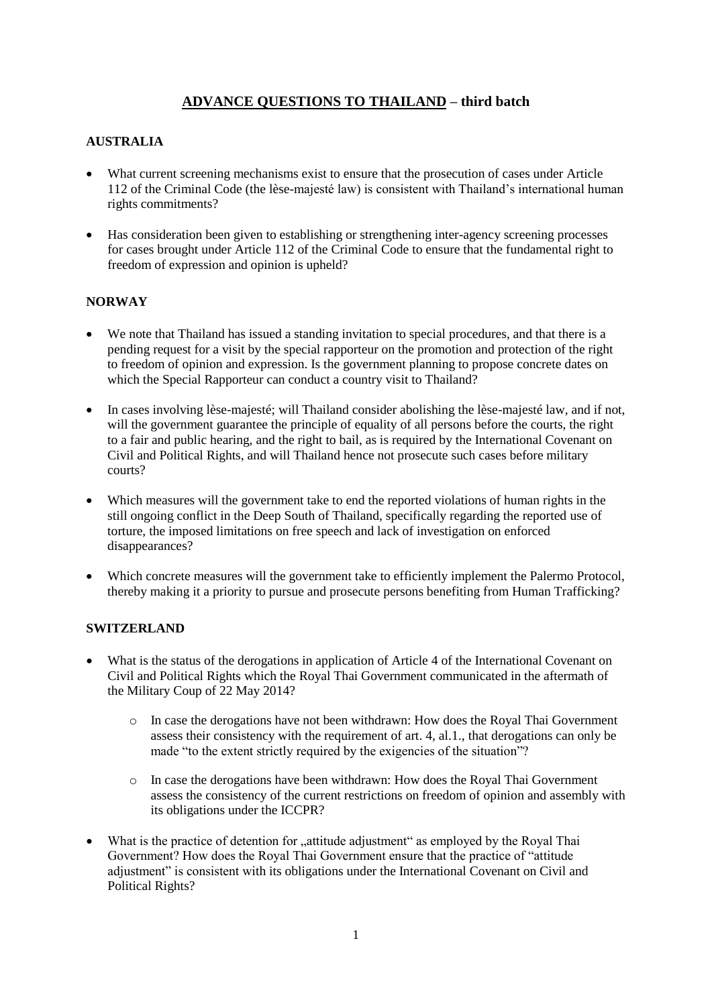## **ADVANCE QUESTIONS TO THAILAND – third batch**

## **AUSTRALIA**

- What current screening mechanisms exist to ensure that the prosecution of cases under Article 112 of the Criminal Code (the lèse-majesté law) is consistent with Thailand's international human rights commitments?
- Has consideration been given to establishing or strengthening inter-agency screening processes for cases brought under Article 112 of the Criminal Code to ensure that the fundamental right to freedom of expression and opinion is upheld?

## **NORWAY**

- We note that Thailand has issued a standing invitation to special procedures, and that there is a pending request for a visit by the special rapporteur on the promotion and protection of the right to freedom of opinion and expression. Is the government planning to propose concrete dates on which the Special Rapporteur can conduct a country visit to Thailand?
- In cases involving lèse-majesté; will Thailand consider abolishing the lèse-majesté law, and if not, will the government guarantee the principle of equality of all persons before the courts, the right to a fair and public hearing, and the right to bail, as is required by the International Covenant on Civil and Political Rights, and will Thailand hence not prosecute such cases before military courts?
- Which measures will the government take to end the reported violations of human rights in the still ongoing conflict in the Deep South of Thailand, specifically regarding the reported use of torture, the imposed limitations on free speech and lack of investigation on enforced disappearances?
- Which concrete measures will the government take to efficiently implement the Palermo Protocol, thereby making it a priority to pursue and prosecute persons benefiting from Human Trafficking?

## **SWITZERLAND**

- What is the status of the derogations in application of Article 4 of the International Covenant on Civil and Political Rights which the Royal Thai Government communicated in the aftermath of the Military Coup of 22 May 2014?
	- o In case the derogations have not been withdrawn: How does the Royal Thai Government assess their consistency with the requirement of art. 4, al.1., that derogations can only be made "to the extent strictly required by the exigencies of the situation"?
	- o In case the derogations have been withdrawn: How does the Royal Thai Government assess the consistency of the current restrictions on freedom of opinion and assembly with its obligations under the ICCPR?
- What is the practice of detention for "attitude adjustment" as employed by the Royal Thai Government? How does the Royal Thai Government ensure that the practice of "attitude adjustment" is consistent with its obligations under the International Covenant on Civil and Political Rights?